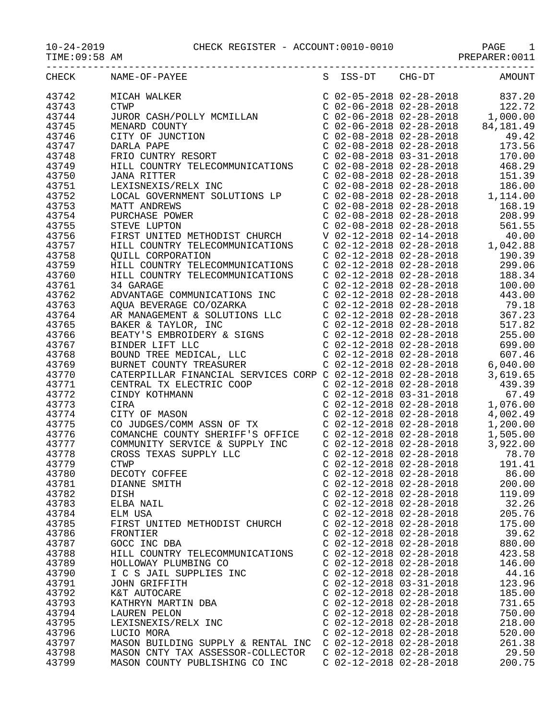PREPARER:0011

| CHECK          | NAME-OF-PAYEE                                                                                                                                                                                                                                    | S ISS-DT CHG-DT                                                               | <b>AMOUNT</b>                                                                                                                                                                       |
|----------------|--------------------------------------------------------------------------------------------------------------------------------------------------------------------------------------------------------------------------------------------------|-------------------------------------------------------------------------------|-------------------------------------------------------------------------------------------------------------------------------------------------------------------------------------|
| 43742          | MICAH WALKER                                                                                                                                                                                                                                     | C 02-05-2018 02-28-2018<br>C 02-06-2018 02-28-2018                            | 837.20                                                                                                                                                                              |
| 43743          | <b>CTWP</b>                                                                                                                                                                                                                                      |                                                                               | 122.72                                                                                                                                                                              |
| 43744          | JUROR CASH/POLLY MCMILLAN                                                                                                                                                                                                                        |                                                                               | $C$ 02-06-2018 02-28-2018 1,000.00                                                                                                                                                  |
| 43745          | MENARD COUNTY                                                                                                                                                                                                                                    |                                                                               | $C$ 02-06-2018 02-28-2018 84,181.49                                                                                                                                                 |
| 43746          | CITY OF JUNCTION                                                                                                                                                                                                                                 | C 02-08-2018 02-28-2018<br>C 02-08-2018 02-28-2018<br>C 02-08-2018 03-31-2018 | 49.42                                                                                                                                                                               |
| 43747          | DARLA PAPE                                                                                                                                                                                                                                       |                                                                               | 173.56                                                                                                                                                                              |
| 43748          | FRIO CUNTRY RESORT                                                                                                                                                                                                                               |                                                                               | 170.00                                                                                                                                                                              |
| 43749          | HILL COUNTRY TELECOMMUNICATIONS                                                                                                                                                                                                                  | $C$ 02-08-2018 02-28-2018                                                     | 468.29                                                                                                                                                                              |
| 43750          | <b>JANA RITTER</b>                                                                                                                                                                                                                               | $C$ 02-08-2018 02-28-2018                                                     | 151.39                                                                                                                                                                              |
| 43751          | LEXISNEXIS/RELX INC                                                                                                                                                                                                                              |                                                                               | $\begin{array}{cccc} \texttt{C} & 02-08-2018 & 02-28-2018 & 186.00 \\ \texttt{C} & 02-08-2018 & 02-28-2018 & 1,114.00 \\ \texttt{C} & 02-08-2018 & 02-28-2018 & 168.19 \end{array}$ |
| 43752          | LOCAL GOVERNMENT SOLUTIONS LP                                                                                                                                                                                                                    |                                                                               |                                                                                                                                                                                     |
| 43753          | MATT ANDREWS                                                                                                                                                                                                                                     |                                                                               |                                                                                                                                                                                     |
| 43754          | PURCHASE POWER                                                                                                                                                                                                                                   | $C$ 02-08-2018 02-28-2018                                                     | 208.99                                                                                                                                                                              |
| 43755          | STEVE LUPTON                                                                                                                                                                                                                                     | $C$ 02-08-2018 02-28-2018                                                     | 561.55                                                                                                                                                                              |
| 43756          | FIRST UNITED METHODIST CHURCH                                                                                                                                                                                                                    | V 02-12-2018 02-14-2018                                                       | 40.00                                                                                                                                                                               |
| 43757          | HILL COUNTRY TELECOMMUNICATIONS                                                                                                                                                                                                                  | $C$ 02-12-2018 02-28-2018                                                     | 1,042.88                                                                                                                                                                            |
| 43758          | <b>OUILL CORPORATION</b>                                                                                                                                                                                                                         | C 02-12-2018 02-28-2018<br>C 02-12-2018 02-28-2018                            | 190.39                                                                                                                                                                              |
| 43759          | HILL COUNTRY TELECOMMUNICATIONS                                                                                                                                                                                                                  |                                                                               | 299.06                                                                                                                                                                              |
| 43760          | HILL COUNTRY TELECOMMUNICATIONS                                                                                                                                                                                                                  | $C$ 02-12-2018 02-28-2018                                                     | 188.34                                                                                                                                                                              |
| 43761          | 34 GARAGE                                                                                                                                                                                                                                        | $C$ 02-12-2018 02-28-2018                                                     | 100.00                                                                                                                                                                              |
| 43762          | ADVANTAGE COMMUNICATIONS INC                                                                                                                                                                                                                     | $C$ 02-12-2018 02-28-2018                                                     | 443.00                                                                                                                                                                              |
| 43763          |                                                                                                                                                                                                                                                  |                                                                               | 79.18                                                                                                                                                                               |
| 43764          |                                                                                                                                                                                                                                                  |                                                                               | 367.23                                                                                                                                                                              |
| 43765          | AQUA BEVERAGE CO/OZARKA<br>AR MANAGEMENT & SOLUTIONS LLC<br>BAKER & TAYLOR, INC<br>BEATY'S EMBROIDERY & SIGNS<br>BINDER LIFT LLC<br>BUND TREE MEDICAL, LLC<br>BUND TREE MEDICAL, LLC<br>CO2-12-2018 02-28-2018<br>BUND TREE MEDICAL, LLC<br>CO2- |                                                                               | 517.82                                                                                                                                                                              |
| 43766          |                                                                                                                                                                                                                                                  |                                                                               | 255.00                                                                                                                                                                              |
| 43767          |                                                                                                                                                                                                                                                  |                                                                               | 699.00                                                                                                                                                                              |
| 43768          |                                                                                                                                                                                                                                                  |                                                                               | 607.46                                                                                                                                                                              |
| 43769          | BOUND TREE MEDICAL, LLC<br>BURNET COUNTY TREASURER CORP C 02-12-2018 02-28-2018<br>CATERPILLAR FINANCIAL SERVICES CORP C 02-12-2018 02-28-2018                                                                                                   |                                                                               | 6,040.00                                                                                                                                                                            |
| 43770<br>43771 |                                                                                                                                                                                                                                                  | $C$ 02-12-2018 02-28-2018                                                     | 3,619.65<br>439.39                                                                                                                                                                  |
| 43772          | CENTRAL TX ELECTRIC COOP<br>CINDY KOTHMANN                                                                                                                                                                                                       | $C$ 02-12-2018 03-31-2018                                                     | 67.49                                                                                                                                                                               |
| 43773          | CIRA                                                                                                                                                                                                                                             | $C$ 02-12-2018 02-28-2018                                                     | 1,076.00                                                                                                                                                                            |
| 43774          |                                                                                                                                                                                                                                                  |                                                                               | 4,002.49                                                                                                                                                                            |
| 43775          | CITY OF MASON<br>CO JUDGES/COMM ASSN OF TX<br>COMANCHE COUNTY SHERIFF'S OFFICE<br>COMANCHE COUNTY SHERIFF'S OFFICE<br>COMANCHE COUNTY SHERIFF'S OFFICE<br>COMANCHE COUNTY SHERIFF'S OFFICE<br>COMANCHE COUNTY SHERIFF'S OFFICE                   |                                                                               | 1,200.00                                                                                                                                                                            |
| 43776          |                                                                                                                                                                                                                                                  |                                                                               | 1,505.00                                                                                                                                                                            |
| 43777          | COMMUNITY SERVICE & SUPPLY INC $\qquad$ C 02-12-2018 02-28-2018                                                                                                                                                                                  |                                                                               | 3,922.00                                                                                                                                                                            |
| 43778          | CROSS TEXAS SUPPLY LLC                                                                                                                                                                                                                           | $C$ 02-12-2018 02-28-2018                                                     | 78.70                                                                                                                                                                               |
| 43779          | <b>CTWP</b>                                                                                                                                                                                                                                      | $C$ 02-12-2018 02-28-2018                                                     | 191.41                                                                                                                                                                              |
| 43780          | DECOTY COFFEE                                                                                                                                                                                                                                    | $C$ 02-12-2018 02-28-2018                                                     | 86.00                                                                                                                                                                               |
| 43781          | DIANNE SMITH                                                                                                                                                                                                                                     | $C$ 02-12-2018 02-28-2018                                                     | 200.00                                                                                                                                                                              |
| 43782          | DISH                                                                                                                                                                                                                                             | $C$ 02-12-2018 02-28-2018                                                     | 119.09                                                                                                                                                                              |
| 43783          | ELBA NAIL                                                                                                                                                                                                                                        | $C$ 02-12-2018 02-28-2018                                                     | 32.26                                                                                                                                                                               |
| 43784          | ELM USA                                                                                                                                                                                                                                          | $C$ 02-12-2018 02-28-2018                                                     | 205.76                                                                                                                                                                              |
| 43785          | FIRST UNITED METHODIST CHURCH                                                                                                                                                                                                                    | C 02-12-2018 02-28-2018                                                       | 175.00                                                                                                                                                                              |
| 43786          | FRONTIER                                                                                                                                                                                                                                         | $C$ 02-12-2018 02-28-2018                                                     | 39.62                                                                                                                                                                               |
| 43787          | GOCC INC DBA                                                                                                                                                                                                                                     | $C$ 02-12-2018 02-28-2018                                                     | 880.00                                                                                                                                                                              |
| 43788          | HILL COUNTRY TELECOMMUNICATIONS                                                                                                                                                                                                                  | $C$ 02-12-2018 02-28-2018                                                     | 423.58                                                                                                                                                                              |
| 43789          | HOLLOWAY PLUMBING CO                                                                                                                                                                                                                             | $C$ 02-12-2018 02-28-2018                                                     | 146.00                                                                                                                                                                              |
| 43790          | I C S JAIL SUPPLIES INC                                                                                                                                                                                                                          | C 02-12-2018 02-28-2018                                                       | 44.16                                                                                                                                                                               |
| 43791          | JOHN GRIFFITH                                                                                                                                                                                                                                    | $C$ 02-12-2018 03-31-2018                                                     | 123.96                                                                                                                                                                              |
| 43792          | K&T AUTOCARE                                                                                                                                                                                                                                     | $C$ 02-12-2018 02-28-2018                                                     | 185.00                                                                                                                                                                              |
| 43793          | KATHRYN MARTIN DBA                                                                                                                                                                                                                               | $C$ 02-12-2018 02-28-2018                                                     | 731.65                                                                                                                                                                              |
| 43794          | <b>LAUREN PELON</b>                                                                                                                                                                                                                              | $C$ 02-12-2018 02-28-2018                                                     | 750.00                                                                                                                                                                              |
| 43795          | LEXISNEXIS/RELX INC                                                                                                                                                                                                                              | $C$ 02-12-2018 02-28-2018                                                     | 218.00                                                                                                                                                                              |
| 43796          | LUCIO MORA                                                                                                                                                                                                                                       | $C$ 02-12-2018 02-28-2018                                                     | 520.00                                                                                                                                                                              |
| 43797          | MASON BUILDING SUPPLY & RENTAL INC                                                                                                                                                                                                               | $C$ 02-12-2018 02-28-2018                                                     | 261.38                                                                                                                                                                              |
| 43798          | MASON CNTY TAX ASSESSOR-COLLECTOR                                                                                                                                                                                                                | $C$ 02-12-2018 02-28-2018                                                     | 29.50                                                                                                                                                                               |
| 43799          | MASON COUNTY PUBLISHING CO INC                                                                                                                                                                                                                   | $C$ 02-12-2018 02-28-2018                                                     | 200.75                                                                                                                                                                              |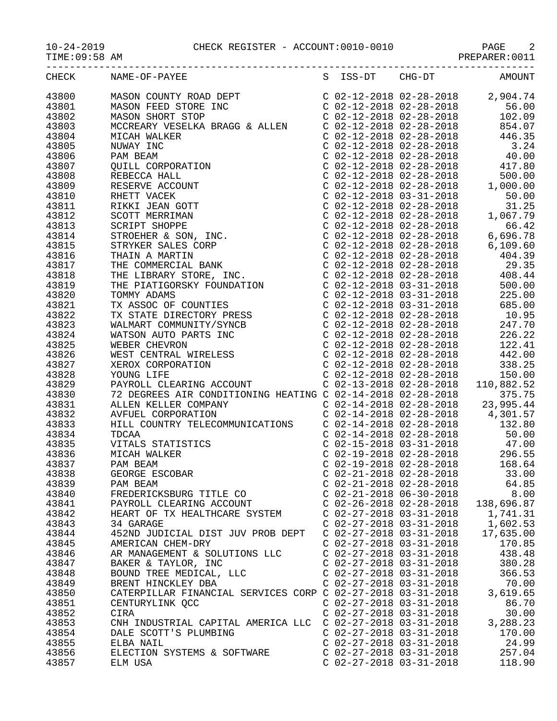$10-24-2019$  CHECK REGISTER - ACCOUNT:0010-0010

| $10 - 24 - 2019$ |  |
|------------------|--|
|                  |  |

| TIME: UY:58 AM |  |  |
|----------------|--|--|
|----------------|--|--|

| <b>PAGE</b>    |  |
|----------------|--|
| PREPARER: 0011 |  |

|       | S ISS-DT CHG-DT AMOUNT<br>CHECK NAME-OF-PAYEE<br>$\begin{tabular}{l c c c c c} \multicolumn{1}{l}{\textbf{NAMB}-OP-PANEE} & \multicolumn{1}{l}{\textbf{S}} & \multicolumn{1}{l}{158-DT} & \multicolumn{1}{l}{\textbf{C163-DT}} & \multicolumn{1}{l}{\textbf{MAGON}} & \multicolumn{1}{l}{\textbf{S108-DT}} & \multicolumn{1}{l}{\textbf{S208-28-2018}} & \multicolumn{1}{l}{\textbf{S208-28-2018}} & \multicolumn{1}{l}{\textbf{S38-28-2018}} & \multicolumn{1}{l$ |                           |                           |                                |
|-------|--------------------------------------------------------------------------------------------------------------------------------------------------------------------------------------------------------------------------------------------------------------------------------------------------------------------------------------------------------------------------------------------------------------------------------------------------------------------|---------------------------|---------------------------|--------------------------------|
| 43800 |                                                                                                                                                                                                                                                                                                                                                                                                                                                                    |                           |                           |                                |
| 43801 |                                                                                                                                                                                                                                                                                                                                                                                                                                                                    |                           |                           |                                |
| 43802 |                                                                                                                                                                                                                                                                                                                                                                                                                                                                    |                           |                           |                                |
| 43803 |                                                                                                                                                                                                                                                                                                                                                                                                                                                                    |                           |                           |                                |
| 43804 |                                                                                                                                                                                                                                                                                                                                                                                                                                                                    |                           |                           |                                |
|       |                                                                                                                                                                                                                                                                                                                                                                                                                                                                    |                           |                           |                                |
| 43805 |                                                                                                                                                                                                                                                                                                                                                                                                                                                                    |                           |                           |                                |
| 43806 |                                                                                                                                                                                                                                                                                                                                                                                                                                                                    |                           |                           |                                |
| 43807 |                                                                                                                                                                                                                                                                                                                                                                                                                                                                    |                           |                           |                                |
| 43808 |                                                                                                                                                                                                                                                                                                                                                                                                                                                                    |                           |                           |                                |
| 43809 |                                                                                                                                                                                                                                                                                                                                                                                                                                                                    |                           |                           |                                |
| 43810 |                                                                                                                                                                                                                                                                                                                                                                                                                                                                    |                           |                           |                                |
| 43811 |                                                                                                                                                                                                                                                                                                                                                                                                                                                                    |                           |                           |                                |
| 43812 |                                                                                                                                                                                                                                                                                                                                                                                                                                                                    |                           |                           |                                |
| 43813 |                                                                                                                                                                                                                                                                                                                                                                                                                                                                    |                           |                           |                                |
| 43814 |                                                                                                                                                                                                                                                                                                                                                                                                                                                                    |                           |                           |                                |
| 43815 |                                                                                                                                                                                                                                                                                                                                                                                                                                                                    |                           |                           |                                |
| 43816 |                                                                                                                                                                                                                                                                                                                                                                                                                                                                    |                           |                           |                                |
| 43817 |                                                                                                                                                                                                                                                                                                                                                                                                                                                                    |                           |                           |                                |
| 43818 |                                                                                                                                                                                                                                                                                                                                                                                                                                                                    |                           |                           |                                |
| 43819 |                                                                                                                                                                                                                                                                                                                                                                                                                                                                    |                           |                           |                                |
| 43820 |                                                                                                                                                                                                                                                                                                                                                                                                                                                                    |                           |                           |                                |
| 43821 |                                                                                                                                                                                                                                                                                                                                                                                                                                                                    |                           |                           |                                |
| 43822 |                                                                                                                                                                                                                                                                                                                                                                                                                                                                    |                           |                           |                                |
| 43823 |                                                                                                                                                                                                                                                                                                                                                                                                                                                                    |                           |                           |                                |
| 43824 |                                                                                                                                                                                                                                                                                                                                                                                                                                                                    |                           |                           |                                |
|       |                                                                                                                                                                                                                                                                                                                                                                                                                                                                    |                           |                           |                                |
| 43825 |                                                                                                                                                                                                                                                                                                                                                                                                                                                                    |                           |                           |                                |
| 43826 |                                                                                                                                                                                                                                                                                                                                                                                                                                                                    |                           |                           |                                |
| 43827 |                                                                                                                                                                                                                                                                                                                                                                                                                                                                    |                           |                           |                                |
| 43828 |                                                                                                                                                                                                                                                                                                                                                                                                                                                                    |                           |                           |                                |
| 43829 |                                                                                                                                                                                                                                                                                                                                                                                                                                                                    |                           |                           |                                |
| 43830 |                                                                                                                                                                                                                                                                                                                                                                                                                                                                    |                           |                           |                                |
| 43831 |                                                                                                                                                                                                                                                                                                                                                                                                                                                                    |                           |                           |                                |
| 43832 |                                                                                                                                                                                                                                                                                                                                                                                                                                                                    |                           |                           |                                |
| 43833 |                                                                                                                                                                                                                                                                                                                                                                                                                                                                    |                           |                           |                                |
| 43834 | AVFUEL CORPORATION<br>HILL COUNTRY TELECOMMUNICATIONS<br>TDCAA C 02-14-2018 02-28-2018 50.00<br>VITALS STATISTICS C 02-15-2018 03-31-2018 47.00<br>MICAH WALKER C 02-19-2018 02-28-2018 296.55<br>TDCAA<br>VITALS STATISTICS<br>MICAH WALKER<br>PAM BEAM<br>CRM BEAM                                                                                                                                                                                               |                           |                           |                                |
| 43835 |                                                                                                                                                                                                                                                                                                                                                                                                                                                                    |                           |                           |                                |
| 43836 |                                                                                                                                                                                                                                                                                                                                                                                                                                                                    |                           |                           |                                |
| 43837 |                                                                                                                                                                                                                                                                                                                                                                                                                                                                    |                           |                           | C 02-19-2018 02-28-2018 168.64 |
| 43838 | GEORGE ESCOBAR                                                                                                                                                                                                                                                                                                                                                                                                                                                     |                           | $C$ 02-21-2018 02-28-2018 | 33.00                          |
| 43839 | PAM BEAM                                                                                                                                                                                                                                                                                                                                                                                                                                                           | $C$ 02-21-2018 02-28-2018 |                           | 64.85                          |
| 43840 | FREDERICKSBURG TITLE CO                                                                                                                                                                                                                                                                                                                                                                                                                                            | $C$ 02-21-2018 06-30-2018 |                           | 8.00                           |
| 43841 | PAYROLL CLEARING ACCOUNT                                                                                                                                                                                                                                                                                                                                                                                                                                           | $C$ 02-26-2018 02-28-2018 |                           | 138,696.87                     |
| 43842 | HEART OF TX HEALTHCARE SYSTEM                                                                                                                                                                                                                                                                                                                                                                                                                                      | $C$ 02-27-2018 03-31-2018 |                           | 1,741.31                       |
| 43843 | 34 GARAGE                                                                                                                                                                                                                                                                                                                                                                                                                                                          | $C$ 02-27-2018 03-31-2018 |                           | 1,602.53                       |
| 43844 | 452ND JUDICIAL DIST JUV PROB DEPT                                                                                                                                                                                                                                                                                                                                                                                                                                  | $C$ 02-27-2018 03-31-2018 |                           | 17,635.00                      |
| 43845 | AMERICAN CHEM-DRY                                                                                                                                                                                                                                                                                                                                                                                                                                                  | $C$ 02-27-2018 03-31-2018 |                           | 170.85                         |
| 43846 | AR MANAGEMENT & SOLUTIONS LLC                                                                                                                                                                                                                                                                                                                                                                                                                                      | $C$ 02-27-2018 03-31-2018 |                           | 438.48                         |
| 43847 | BAKER & TAYLOR, INC                                                                                                                                                                                                                                                                                                                                                                                                                                                | $C$ 02-27-2018 03-31-2018 |                           | 380.28                         |
| 43848 | BOUND TREE MEDICAL, LLC                                                                                                                                                                                                                                                                                                                                                                                                                                            | $C$ 02-27-2018 03-31-2018 |                           | 366.53                         |
| 43849 | BRENT HINCKLEY DBA                                                                                                                                                                                                                                                                                                                                                                                                                                                 | $C$ 02-27-2018 03-31-2018 |                           | 70.00                          |
| 43850 | CATERPILLAR FINANCIAL SERVICES CORP C 02-27-2018 03-31-2018                                                                                                                                                                                                                                                                                                                                                                                                        |                           |                           | 3,619.65                       |
| 43851 | CENTURYLINK QCC                                                                                                                                                                                                                                                                                                                                                                                                                                                    | $C$ 02-27-2018 03-31-2018 |                           | 86.70                          |
| 43852 | CIRA                                                                                                                                                                                                                                                                                                                                                                                                                                                               | $C$ 02-27-2018 03-31-2018 |                           | 30.00                          |
| 43853 | CNH INDUSTRIAL CAPITAL AMERICA LLC C 02-27-2018 03-31-2018                                                                                                                                                                                                                                                                                                                                                                                                         |                           |                           | 3,288.23                       |
|       |                                                                                                                                                                                                                                                                                                                                                                                                                                                                    |                           |                           |                                |
| 43854 | DALE SCOTT'S PLUMBING                                                                                                                                                                                                                                                                                                                                                                                                                                              | $C$ 02-27-2018 03-31-2018 |                           | 170.00                         |
| 43855 | ELBA NAIL                                                                                                                                                                                                                                                                                                                                                                                                                                                          | $C$ 02-27-2018 03-31-2018 |                           | 24.99                          |
| 43856 | ELECTION SYSTEMS & SOFTWARE                                                                                                                                                                                                                                                                                                                                                                                                                                        | $C$ 02-27-2018 03-31-2018 |                           | 257.04                         |
| 43857 | ELM USA                                                                                                                                                                                                                                                                                                                                                                                                                                                            | $C$ 02-27-2018 03-31-2018 |                           | 118.90                         |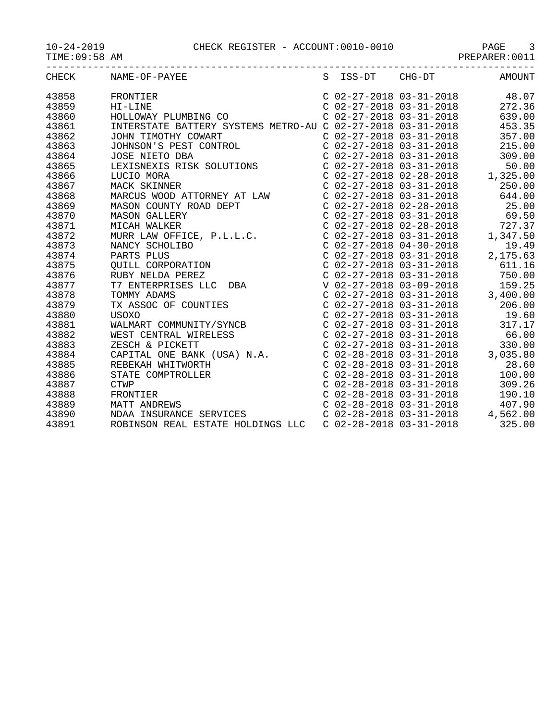| CHECK |                                                                                                            |                           | S ISS-DT CHG-DT                                                                                                                                                                                                                           | AMOUNT   |
|-------|------------------------------------------------------------------------------------------------------------|---------------------------|-------------------------------------------------------------------------------------------------------------------------------------------------------------------------------------------------------------------------------------------|----------|
| 43858 |                                                                                                            |                           | C 02-27-2018 03-31-2018 48.07                                                                                                                                                                                                             |          |
| 43859 |                                                                                                            |                           | C 02-27-2018 03-31-2018 272.36                                                                                                                                                                                                            |          |
| 43860 |                                                                                                            |                           | $C$ 02-27-2018 03-31-2018                                                                                                                                                                                                                 | 639.00   |
| 43861 | INTERSTATE BATTERY SYSTEMS METRO-AU C 02-27-2018 03-31-2018                                                |                           |                                                                                                                                                                                                                                           | 453.35   |
| 43862 |                                                                                                            |                           | $C$ 02-27-2018 03-31-2018                                                                                                                                                                                                                 | 357.00   |
| 43863 | JOHN TIMOTHY COWART<br>JOHNSON'S PEST CONTROL<br>JOSE NIETO DBA                                            |                           | $C$ 02-27-2018 03-31-2018 215.00                                                                                                                                                                                                          |          |
| 43864 |                                                                                                            |                           | $C$ 02-27-2018 03-31-2018 309.00                                                                                                                                                                                                          |          |
| 43865 | JOSE NIETO DBA<br>LEXISNEXIS RISK SOLUTIONS                                                                |                           | $\begin{array}{cccccc} C & 02-27-2018 & 03-31-2018 & & & & 50.00 \\ C & 02-27-2018 & 02-28-2018 & & & 1,325.00 \end{array}$                                                                                                               | 50.00    |
| 43866 | LUCIO MORA                                                                                                 |                           |                                                                                                                                                                                                                                           |          |
| 43867 |                                                                                                            |                           | $C$ 02-27-2018 03-31-2018                                                                                                                                                                                                                 | 250.00   |
| 43868 | MACK SKINNER<br>MARCUS WOOD ATTORNEY AT LAW<br>MASON GOINTTY DOOD TTTT                                     |                           | $C$ 02-27-2018 03-31-2018 644.00                                                                                                                                                                                                          |          |
| 43869 |                                                                                                            |                           | $C$ 02-27-2018 02-28-2018 25.00                                                                                                                                                                                                           |          |
| 43870 |                                                                                                            |                           | $C$ 02-27-2018 03-31-2018                                                                                                                                                                                                                 | 69.50    |
| 43871 | MASON COUNTY ROAD DEPT<br>MASON GALLERY<br>MICAH WALKER<br>MURR LAW OFFICE, P.L.L.C.                       |                           | $\begin{array}{cccc} \text{C} & 02-27-2018 & 02-28-2018 \\ \text{C} & 02-27-2018 & 03-31-2018 & 1 \end{array}$                                                                                                                            | 727.37   |
| 43872 |                                                                                                            |                           |                                                                                                                                                                                                                                           | 1,347.50 |
| 43873 |                                                                                                            |                           | $C$ 02-27-2018 04-30-2018                                                                                                                                                                                                                 | 19.49    |
| 43874 | NARTS PLUS<br>PARTS PLUS<br>QUILL CORPORATION<br>RUBY NELDA PEREZ<br>T7 ENTERPRISES LLC DBA<br>TOMMY ADAMS |                           | C 02-27-2018 03-31-2018 2,<br>C 02-27-2018 03-31-2018<br>C 02-27-2018 03-31-2018<br>C 02-27-2018 03-31-2018                                                                                                                               | 2,175.63 |
| 43875 |                                                                                                            |                           |                                                                                                                                                                                                                                           | 611.16   |
| 43876 |                                                                                                            |                           |                                                                                                                                                                                                                                           | 750.00   |
| 43877 |                                                                                                            |                           |                                                                                                                                                                                                                                           |          |
| 43878 |                                                                                                            |                           |                                                                                                                                                                                                                                           |          |
| 43879 | TX ASSOC OF COUNTIES                                                                                       |                           |                                                                                                                                                                                                                                           |          |
| 43880 |                                                                                                            |                           |                                                                                                                                                                                                                                           |          |
| 43881 | TX ASSUC UL<br>USOXO<br>WALMART COMMUNITY/SYNCB<br>WEST CENTRAL WIRELESS                                   |                           | V 02-27-2018 03-51-2018<br>C 02-27-2018 03-09-2018<br>C 02-27-2018 03-31-2018<br>C 02-27-2018 03-31-2018<br>C 02-27-2018 03-31-2018<br>C 02-27-2018 03-31-2018<br>C 02-27-2018 03-31-2018<br>317.17                                       |          |
| 43882 |                                                                                                            |                           | $C$ 02-27-2018 03-31-2018                                                                                                                                                                                                                 | 66.00    |
| 43883 | ZESCH & PICKETT                                                                                            |                           |                                                                                                                                                                                                                                           |          |
| 43884 | CAPITAL ONE BANK (USA) N.A.                                                                                |                           |                                                                                                                                                                                                                                           | 3,035.80 |
| 43885 | REBEKAH WHITWORTH                                                                                          |                           |                                                                                                                                                                                                                                           |          |
| 43886 | STATE COMPTROLLER                                                                                          |                           |                                                                                                                                                                                                                                           |          |
| 43887 | <b>CTWP</b>                                                                                                |                           |                                                                                                                                                                                                                                           |          |
| 43888 | FRONTIER                                                                                                   |                           |                                                                                                                                                                                                                                           |          |
| 43889 | MATT ANDREWS                                                                                               |                           | $C$ 02-27-2018 03-31-2018 66.00<br>$C$ 02-27-2018 03-31-2018 330.00<br>$C$ 02-28-2018 03-31-2018 3,035.80<br>$C$ 02-28-2018 03-31-2018 28.60<br>$C$ 02-28-2018 03-31-2018 100.00<br>$C$ 02-28-2018 03-31-2018 309.26<br>$C$ 02-28-2018 03 |          |
| 43890 | MAII ANDREWS<br>NDAA INSURANCE SERVICES                                                                    |                           |                                                                                                                                                                                                                                           |          |
| 43891 | ROBINSON REAL ESTATE HOLDINGS LLC                                                                          | $C$ 02-28-2018 03-31-2018 |                                                                                                                                                                                                                                           | 325.00   |